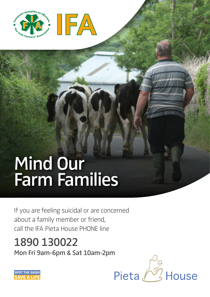

# Mind Our Farm Families

If you are feeling suicidal or are concerned about a family member or friend, call the IFA Pieta House PHONE line

1890 130022 Mon Fri 9am-6pm & Sat 10am-2pm



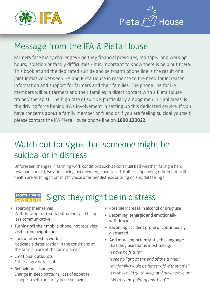



### Message from the IFA & Pieta House

Farmers face many challenges - be they financial pressures, red tape, long working hours, isolation or family difficulties - it is important to know there is help out there. This booklet and the dedicated suicide and self-harm phone line is the result of a joint initiative between IFA and Pieta House in response to the need for increased information and support for farmers and their families. The phone line for IFA members will put farmers and their families in direct contact with a Pieta House trained therapist. The high rate of suicide, particularly among men in rural areas, is the driving force behind IFA's involvement in setting up this dedicated service. If you have concerns about a family member or friend or if you are feeling suicidal yourself, please contact the IFA Pieta House phone line on **1890 130022**.

## Watch out for signs that someone might be suicidal or in distress

Unforeseen changes in farming work conditions such as continual bad weather, failing a herd test, bad harvest, isolation, being over worked, financial difficulties, impending retirement or ill health are all things that might cause a farmer distress or bring on suicidal feelings.

#### **SPOT THE SIGNS** Signs they might be in distress **SAVE A LIFE**

- Isolating themselves Withdrawing from social situations and being less communicative
- Turning off their mobile phone, not receiving visits from neighbours
- Lack of interest in work Noticeable deterioration in the conditions of the farm or care of the farm animals
- Emotional outbursts Either angry or tearful
- Behavioural changes Change in sleep patterns, loss of appetite, change in self-care or hygiene behaviour
- Possible increase in alcohol or drug use
- Becoming lethargic and emotionally withdrawn
- Becoming accident prone or continuously distracted
- And more importantly, It's the language that they use that is most telling…

"I have no future"

"I see no light at the end of the tunnel"

"My family would be better off without me"

"I wish I could go to sleep and never wake up"

"What is the point of anything?"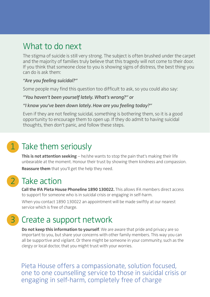### What to do next

The stigma of suicide is still very strong. The subject is often brushed under the carpet and the majority of families truly believe that this tragedy will not come to their door. If you think that someone close to you is showing signs of distress, the best thing you can do is ask them:

### "Are you feeling suicidal?"

Some people may find this question too difficult to ask, so you could also say:

### "You haven't been yourself lately. What's wrong?" or

### "I know you've been down lately. How are you feeling today?"

Even if they are not feeling suicidal, something is bothering them, so it is a good opportunity to encourage them to open up. If they do admit to having suicidal thoughts, then don't panic, and follow these steps.

### 1 Take them seriously

**This is not attention seeking** – he/she wants to stop the pain that's making their life unbearable at the moment. Honour their trust by showing them kindness and compassion. **Reassure them** that you'll get the help they need.

### 2 Take action

**Call the IFA Pieta House Phoneline 1890 130022.** This allows IFA members direct access to support for someone who is in suicidal crisis or engaging in self-harm.

When you contact 1890 130022 an appointment will be made swiftly at our nearest service which is free of charge.

### 3 Create a support network

**Do not keep this information to yourself**. We are aware that pride and privacy are so important to you, but share your concerns with other family members. This way you can all be supportive and vigilant. Or there might be someone in your community, such as the clergy or local doctor, that you might trust with your worries.

Pieta House offers a compassionate, solution focused, one to one counselling service to those in suicidal crisis or engaging in self-harm, completely free of charge